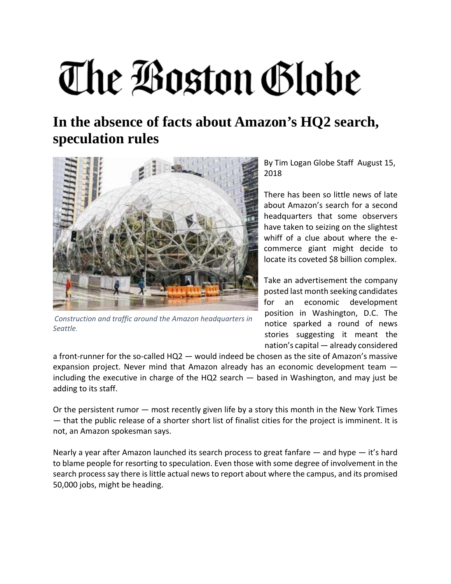## The Boston Globe

## **In the absence of facts about Amazon's HQ2 search, speculation rules**



*Construction and traffic around the Amazon headquarters in Seattle.*

By Tim Logan Globe Staff August 15, 2018

There has been so little news of late about Amazon's search for a second headquarters that some observers have taken to seizing on the slightest whiff of a clue about where the ecommerce giant might decide to locate its coveted \$8 billion complex.

Take an advertisement the company posted last month seeking candidates for an economic development position in Washington, D.C. The notice sparked a round of news stories suggesting it meant the nation's capital — already considered

a front-runner for the so-called HQ2 — would indeed be chosen as the site of Amazon's massive expansion project. Never mind that Amazon already has an economic development team including the executive in charge of the HQ2 search — based in Washington, and may just be adding to its staff.

Or the persistent rumor — most recently given life by a story this month in the New York Times — that the public release of a shorter short list of finalist cities for the project is imminent. It is not, an Amazon spokesman says.

Nearly a year after Amazon launched its search process to great fanfare — and hype — it's hard to blame people for resorting to speculation. Even those with some degree of involvement in the search process say there is little actual news to report about where the campus, and its promised 50,000 jobs, might be heading.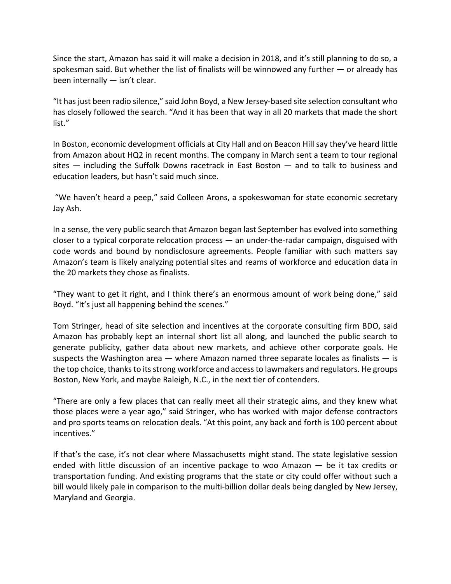Since the start, Amazon has said it will make a decision in 2018, and it's still planning to do so, a spokesman said. But whether the list of finalists will be winnowed any further — or already has been internally — isn't clear.

"It hasjust been radio silence," said John Boyd, a New Jersey‐based site selection consultant who has closely followed the search. "And it has been that way in all 20 markets that made the short list."

In Boston, economic development officials at City Hall and on Beacon Hill say they've heard little from Amazon about HQ2 in recent months. The company in March sent a team to tour regional sites — including the Suffolk Downs racetrack in East Boston — and to talk to business and education leaders, but hasn't said much since.

"We haven't heard a peep," said Colleen Arons, a spokeswoman for state economic secretary Jay Ash.

In a sense, the very public search that Amazon began last September has evolved into something closer to a typical corporate relocation process — an under‐the‐radar campaign, disguised with code words and bound by nondisclosure agreements. People familiar with such matters say Amazon's team is likely analyzing potential sites and reams of workforce and education data in the 20 markets they chose as finalists.

"They want to get it right, and I think there's an enormous amount of work being done," said Boyd. "It's just all happening behind the scenes."

Tom Stringer, head of site selection and incentives at the corporate consulting firm BDO, said Amazon has probably kept an internal short list all along, and launched the public search to generate publicity, gather data about new markets, and achieve other corporate goals. He suspects the Washington area — where Amazon named three separate locales as finalists — is the top choice, thanks to its strong workforce and access to lawmakers and regulators. He groups Boston, New York, and maybe Raleigh, N.C., in the next tier of contenders.

"There are only a few places that can really meet all their strategic aims, and they knew what those places were a year ago," said Stringer, who has worked with major defense contractors and pro sports teams on relocation deals. "At this point, any back and forth is 100 percent about incentives."

If that's the case, it's not clear where Massachusetts might stand. The state legislative session ended with little discussion of an incentive package to woo Amazon — be it tax credits or transportation funding. And existing programs that the state or city could offer without such a bill would likely pale in comparison to the multi-billion dollar deals being dangled by New Jersey, Maryland and Georgia.